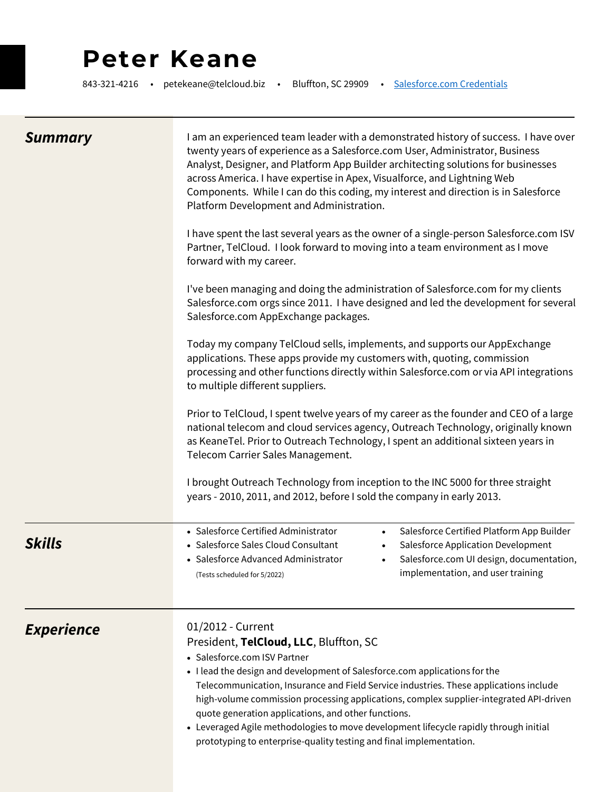# **Peter Keane**

843-321-4216 • petekeane@telcloud.biz • Bluffton, SC 29909 • [Salesforce.com Credentials](https://www.telcloudllc.com/salesforce-com-training)

| <b>Summary</b>           | I am an experienced team leader with a demonstrated history of success. I have over<br>twenty years of experience as a Salesforce.com User, Administrator, Business<br>Analyst, Designer, and Platform App Builder architecting solutions for businesses<br>across America. I have expertise in Apex, Visualforce, and Lightning Web<br>Components. While I can do this coding, my interest and direction is in Salesforce<br>Platform Development and Administration.<br>I have spent the last several years as the owner of a single-person Salesforce.com ISV<br>Partner, TelCloud. I look forward to moving into a team environment as I move<br>forward with my career.<br>I've been managing and doing the administration of Salesforce.com for my clients<br>Salesforce.com orgs since 2011. I have designed and led the development for several<br>Salesforce.com AppExchange packages.<br>Today my company TelCloud sells, implements, and supports our AppExchange<br>applications. These apps provide my customers with, quoting, commission<br>processing and other functions directly within Salesforce.com or via API integrations<br>to multiple different suppliers.<br>Prior to TelCloud, I spent twelve years of my career as the founder and CEO of a large<br>national telecom and cloud services agency, Outreach Technology, originally known<br>as KeaneTel. Prior to Outreach Technology, I spent an additional sixteen years in<br>Telecom Carrier Sales Management. |
|--------------------------|-----------------------------------------------------------------------------------------------------------------------------------------------------------------------------------------------------------------------------------------------------------------------------------------------------------------------------------------------------------------------------------------------------------------------------------------------------------------------------------------------------------------------------------------------------------------------------------------------------------------------------------------------------------------------------------------------------------------------------------------------------------------------------------------------------------------------------------------------------------------------------------------------------------------------------------------------------------------------------------------------------------------------------------------------------------------------------------------------------------------------------------------------------------------------------------------------------------------------------------------------------------------------------------------------------------------------------------------------------------------------------------------------------------------------------------------------------------------------------------------------|
|                          | I brought Outreach Technology from inception to the INC 5000 for three straight<br>years - 2010, 2011, and 2012, before I sold the company in early 2013.                                                                                                                                                                                                                                                                                                                                                                                                                                                                                                                                                                                                                                                                                                                                                                                                                                                                                                                                                                                                                                                                                                                                                                                                                                                                                                                                     |
| Skills                   | • Salesforce Certified Administrator<br>Salesforce Certified Platform App Builder<br>$\bullet$<br>• Salesforce Sales Cloud Consultant<br>Salesforce Application Development<br>• Salesforce Advanced Administrator<br>Salesforce.com UI design, documentation,<br>$\bullet$<br>implementation, and user training<br>(Tests scheduled for 5/2022)                                                                                                                                                                                                                                                                                                                                                                                                                                                                                                                                                                                                                                                                                                                                                                                                                                                                                                                                                                                                                                                                                                                                              |
| <i><b>Experience</b></i> | 01/2012 - Current<br>President, TelCloud, LLC, Bluffton, SC<br>• Salesforce.com ISV Partner<br>. I lead the design and development of Salesforce.com applications for the<br>Telecommunication, Insurance and Field Service industries. These applications include<br>high-volume commission processing applications, complex supplier-integrated API-driven<br>quote generation applications, and other functions.<br>• Leveraged Agile methodologies to move development lifecycle rapidly through initial<br>prototyping to enterprise-quality testing and final implementation.                                                                                                                                                                                                                                                                                                                                                                                                                                                                                                                                                                                                                                                                                                                                                                                                                                                                                                           |